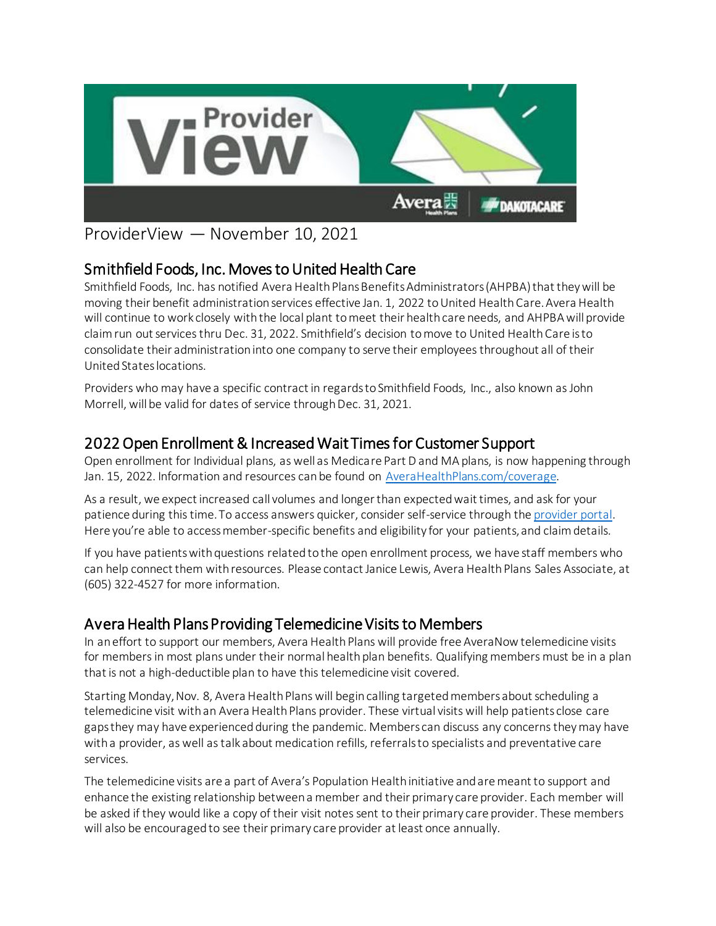

ProviderView — November 10, 2021

## Smithfield Foods, Inc. Moves to United Health Care

Smithfield Foods, Inc. has notified Avera Health Plans Benefits Administrators (AHPBA) that they will be moving their benefit administration services effective Jan. 1, 2022 to United Health Care. Avera Health will continue to work closely with the local plant to meet their health care needs, and AHPBA will provide claim run out services thru Dec. 31, 2022. Smithfield's decision to move to United Health Care is to consolidate their administration into one company to serve their employees throughout all of their United States locations.

Providers who may have a specific contract in regards to Smithfield Foods, Inc., also known as John Morrell, will be valid for dates of service through Dec. 31, 2021.

## 2022 Open Enrollment & Increased Wait Times for Customer Support

Open enrollment for Individual plans, as well as Medicare Part D and MA plans, is now happening through Jan. 15, 2022. Information and resources can be found on [AveraHealthPlans.com/coverage](http://www.averahealthplans.com/coverage).

As a result, we expect increased call volumes and longer than expected wait times, and ask for your patience during this time. To access answers quicker, consider self-service through th[e provider portal.](https://www.averahealthplans.com/insurance/providers/login/) Here you're able to access member-specific benefits and eligibility for your patients, and claim details.

If you have patients with questions related to the open enrollment process, we have staff members who can help connect them with resources. Please contact Janice Lewis, Avera Health Plans Sales Associate, at (605) 322-4527 for more information.

## Avera Health Plans Providing Telemedicine Visits to Members

In an effort to support our members, Avera Health Plans will provide free AveraNow telemedicine visits for members in most plans under their normal health plan benefits. Qualifying members must be in a plan that is not a high-deductible plan to have this telemedicine visit covered.

Starting Monday, Nov. 8, Avera Health Plans will begin calling targeted members about scheduling a telemedicine visit with an Avera Health Plans provider. These virtual visits will help patients close care gaps they may have experienced during the pandemic. Members can discuss any concerns they may have with a provider, as well as talk about medication refills, referrals to specialists and preventative care services.

The telemedicine visits are a part of Avera's Population Health initiative and are meant to support and enhance the existing relationship between a member and their primary care provider. Each member will be asked if they would like a copy of their visit notes sent to their primary care provider. These members will also be encouraged to see their primary care provider at least once annually.